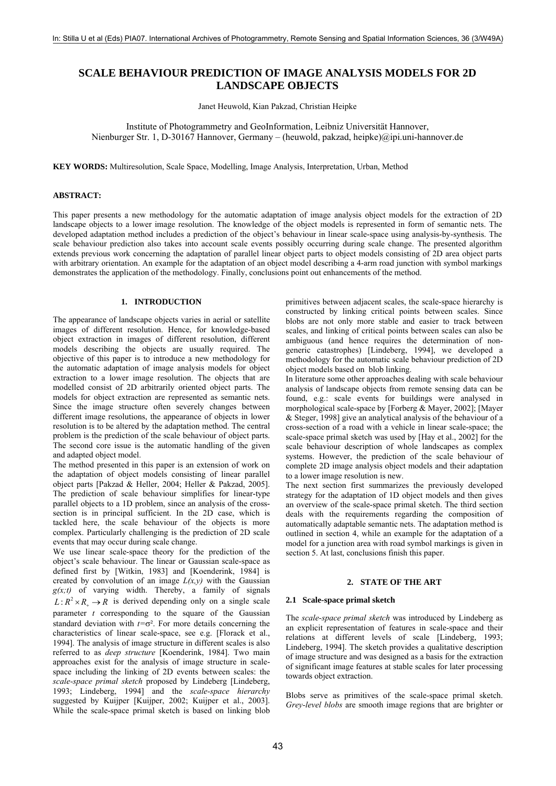# **SCALE BEHAVIOUR PREDICTION OF IMAGE ANALYSIS MODELS FOR 2D LANDSCAPE OBJECTS**

Janet Heuwold, Kian Pakzad, Christian Heipke

Institute of Photogrammetry and GeoInformation, Leibniz Universität Hannover, Nienburger Str. 1, D-30167 Hannover, Germany – (heuwold, pakzad, heipke)@ipi.uni-hannover.de

**KEY WORDS:** Multiresolution, Scale Space, Modelling, Image Analysis, Interpretation, Urban, Method

#### **ABSTRACT:**

This paper presents a new methodology for the automatic adaptation of image analysis object models for the extraction of 2D landscape objects to a lower image resolution. The knowledge of the object models is represented in form of semantic nets. The developed adaptation method includes a prediction of the object's behaviour in linear scale-space using analysis-by-synthesis. The scale behaviour prediction also takes into account scale events possibly occurring during scale change. The presented algorithm extends previous work concerning the adaptation of parallel linear object parts to object models consisting of 2D area object parts with arbitrary orientation. An example for the adaptation of an object model describing a 4-arm road junction with symbol markings demonstrates the application of the methodology. Finally, conclusions point out enhancements of the method.

# **1. INTRODUCTION**

The appearance of landscape objects varies in aerial or satellite images of different resolution. Hence, for knowledge-based object extraction in images of different resolution, different models describing the objects are usually required. The objective of this paper is to introduce a new methodology for the automatic adaptation of image analysis models for object extraction to a lower image resolution. The objects that are modelled consist of 2D arbitrarily oriented object parts. The models for object extraction are represented as semantic nets. Since the image structure often severely changes between different image resolutions, the appearance of objects in lower resolution is to be altered by the adaptation method. The central problem is the prediction of the scale behaviour of object parts. The second core issue is the automatic handling of the given and adapted object model.

The method presented in this paper is an extension of work on the adaptation of object models consisting of linear parallel object parts [Pakzad & Heller, 2004; Heller & Pakzad, 2005]. The prediction of scale behaviour simplifies for linear-type parallel objects to a 1D problem, since an analysis of the crosssection is in principal sufficient. In the 2D case, which is tackled here, the scale behaviour of the objects is more complex. Particularly challenging is the prediction of 2D scale events that may occur during scale change.

We use linear scale-space theory for the prediction of the object's scale behaviour. The linear or Gaussian scale-space as defined first by [Witkin, 1983] and [Koenderink, 1984] is created by convolution of an image  $L(x,y)$  with the Gaussian  $g(x,t)$  of varying width. Thereby, a family of signals  $L: \mathbb{R}^2 \times \mathbb{R} \longrightarrow \mathbb{R}$  is derived depending only on a single scale parameter *t* corresponding to the square of the Gaussian standard deviation with  $t=\sigma^2$ . For more details concerning the characteristics of linear scale-space, see e.g. [Florack et al., 1994]. The analysis of image structure in different scales is also referred to as *deep structure* [Koenderink, 1984]. Two main approaches exist for the analysis of image structure in scalespace including the linking of 2D events between scales: the *scale-space primal sketch* proposed by Lindeberg [Lindeberg, 1993; Lindeberg, 1994] and the *scale-space hierarchy* suggested by Kuijper [Kuijper, 2002; Kuijper et al., 2003]. While the scale-space primal sketch is based on linking blob primitives between adjacent scales, the scale-space hierarchy is constructed by linking critical points between scales. Since blobs are not only more stable and easier to track between scales, and linking of critical points between scales can also be ambiguous (and hence requires the determination of nongeneric catastrophes) [Lindeberg, 1994], we developed a methodology for the automatic scale behaviour prediction of 2D object models based on blob linking.

In literature some other approaches dealing with scale behaviour analysis of landscape objects from remote sensing data can be found, e.g.: scale events for buildings were analysed in morphological scale-space by [Forberg & Mayer, 2002]; [Mayer & Steger, 1998] give an analytical analysis of the behaviour of a cross-section of a road with a vehicle in linear scale-space; the scale-space primal sketch was used by [Hay et al., 2002] for the scale behaviour description of whole landscapes as complex systems. However, the prediction of the scale behaviour of complete 2D image analysis object models and their adaptation to a lower image resolution is new.

The next section first summarizes the previously developed strategy for the adaptation of 1D object models and then gives an overview of the scale-space primal sketch. The third section deals with the requirements regarding the composition of automatically adaptable semantic nets. The adaptation method is outlined in section 4, while an example for the adaptation of a model for a junction area with road symbol markings is given in section 5. At last, conclusions finish this paper.

## **2. STATE OF THE ART**

## **2.1 Scale-space primal sketch**

The *scale-space primal sketch* was introduced by Lindeberg as an explicit representation of features in scale-space and their relations at different levels of scale [Lindeberg, 1993; Lindeberg, 1994]. The sketch provides a qualitative description of image structure and was designed as a basis for the extraction of significant image features at stable scales for later processing towards object extraction.

Blobs serve as primitives of the scale-space primal sketch. *Grey-level blobs* are smooth image regions that are brighter or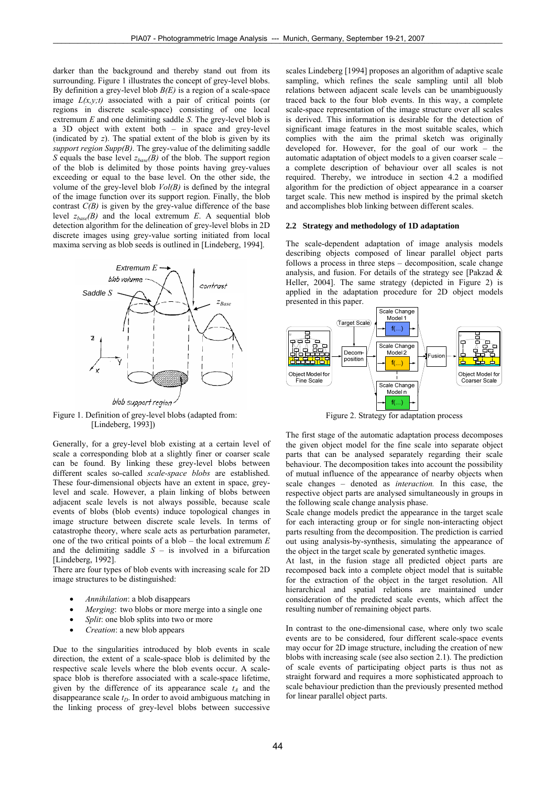darker than the background and thereby stand out from its surrounding. Figure 1 illustrates the concept of grey-level blobs. By definition a grey-level blob *B(E)* is a region of a scale-space image  $L(x, y; t)$  associated with a pair of critical points (or regions in discrete scale-space) consisting of one local extremum *E* and one delimiting saddle *S*. The grey-level blob is a 3D object with extent both – in space and grey-level (indicated by *z*). The spatial extent of the blob is given by its *support region Supp(B)*. The grey-value of the delimiting saddle *S* equals the base level *zbase(B)* of the blob. The support region of the blob is delimited by those points having grey-values exceeding or equal to the base level. On the other side, the volume of the grey-level blob *Vol(B)* is defined by the integral of the image function over its support region. Finally, the blob contrast  $C(B)$  is given by the grey-value difference of the base level  $z_{base}(B)$  and the local extremum *E*. A sequential blob detection algorithm for the delineation of grey-level blobs in 2D discrete images using grey-value sorting initiated from local maxima serving as blob seeds is outlined in [Lindeberg, 1994].



Figure 1. Definition of grey-level blobs (adapted from: [Lindeberg, 1993])

Generally, for a grey-level blob existing at a certain level of scale a corresponding blob at a slightly finer or coarser scale can be found. By linking these grey-level blobs between different scales so-called *scale-space blobs* are established. These four-dimensional objects have an extent in space, greylevel and scale. However, a plain linking of blobs between adjacent scale levels is not always possible, because scale events of blobs (blob events) induce topological changes in image structure between discrete scale levels. In terms of catastrophe theory, where scale acts as perturbation parameter, one of the two critical points of a blob – the local extremum *E* and the delimiting saddle  $S -$  is involved in a bifurcation [Lindeberg, 1992].

There are four types of blob events with increasing scale for 2D image structures to be distinguished:

- *Annihilation*: a blob disappears
- *Merging*: two blobs or more merge into a single one
- *Split*: one blob splits into two or more
- *Creation*: a new blob appears

Due to the singularities introduced by blob events in scale direction, the extent of a scale-space blob is delimited by the respective scale levels where the blob events occur. A scalespace blob is therefore associated with a scale-space lifetime, given by the difference of its appearance scale  $t_A$  and the disappearance scale  $t<sub>D</sub>$ . In order to avoid ambiguous matching in the linking process of grey-level blobs between successive

scales Lindeberg [1994] proposes an algorithm of adaptive scale sampling, which refines the scale sampling until all blob relations between adjacent scale levels can be unambiguously traced back to the four blob events. In this way, a complete scale-space representation of the image structure over all scales is derived. This information is desirable for the detection of significant image features in the most suitable scales, which complies with the aim the primal sketch was originally developed for. However, for the goal of our work – the automatic adaptation of object models to a given coarser scale – a complete description of behaviour over all scales is not required. Thereby, we introduce in section 4.2 a modified algorithm for the prediction of object appearance in a coarser target scale. This new method is inspired by the primal sketch and accomplishes blob linking between different scales.

## **2.2 Strategy and methodology of 1D adaptation**

The scale-dependent adaptation of image analysis models describing objects composed of linear parallel object parts follows a process in three steps – decomposition, scale change analysis, and fusion. For details of the strategy see [Pakzad & Heller, 2004]. The same strategy (depicted in Figure 2) is applied in the adaptation procedure for 2D object models presented in this paper.



Figure 2. Strategy for adaptation process

The first stage of the automatic adaptation process decomposes the given object model for the fine scale into separate object parts that can be analysed separately regarding their scale behaviour. The decomposition takes into account the possibility of mutual influence of the appearance of nearby objects when scale changes – denoted as *interaction.* In this case, the respective object parts are analysed simultaneously in groups in the following scale change analysis phase.

Scale change models predict the appearance in the target scale for each interacting group or for single non-interacting object parts resulting from the decomposition. The prediction is carried out using analysis-by-synthesis, simulating the appearance of the object in the target scale by generated synthetic images.

At last, in the fusion stage all predicted object parts are recomposed back into a complete object model that is suitable for the extraction of the object in the target resolution. All hierarchical and spatial relations are maintained under consideration of the predicted scale events, which affect the resulting number of remaining object parts.

In contrast to the one-dimensional case, where only two scale events are to be considered, four different scale-space events may occur for 2D image structure, including the creation of new blobs with increasing scale (see also section 2.1). The prediction of scale events of participating object parts is thus not as straight forward and requires a more sophisticated approach to scale behaviour prediction than the previously presented method for linear parallel object parts.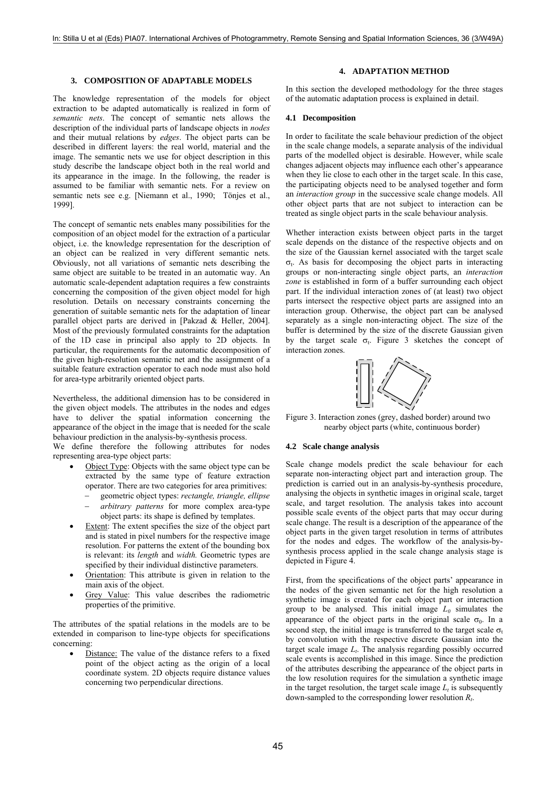#### **3. COMPOSITION OF ADAPTABLE MODELS**

The knowledge representation of the models for object extraction to be adapted automatically is realized in form of *semantic nets*. The concept of semantic nets allows the description of the individual parts of landscape objects in *nodes* and their mutual relations by *edges*. The object parts can be described in different layers: the real world, material and the image. The semantic nets we use for object description in this study describe the landscape object both in the real world and its appearance in the image. In the following, the reader is assumed to be familiar with semantic nets. For a review on semantic nets see e.g. [Niemann et al., 1990; Tönjes et al., 1999].

The concept of semantic nets enables many possibilities for the composition of an object model for the extraction of a particular object, i.e. the knowledge representation for the description of an object can be realized in very different semantic nets. Obviously, not all variations of semantic nets describing the same object are suitable to be treated in an automatic way. An automatic scale-dependent adaptation requires a few constraints concerning the composition of the given object model for high resolution. Details on necessary constraints concerning the generation of suitable semantic nets for the adaptation of linear parallel object parts are derived in [Pakzad & Heller, 2004]. Most of the previously formulated constraints for the adaptation of the 1D case in principal also apply to 2D objects. In particular, the requirements for the automatic decomposition of the given high-resolution semantic net and the assignment of a suitable feature extraction operator to each node must also hold for area-type arbitrarily oriented object parts.

Nevertheless, the additional dimension has to be considered in the given object models. The attributes in the nodes and edges have to deliver the spatial information concerning the appearance of the object in the image that is needed for the scale behaviour prediction in the analysis-by-synthesis process.

We define therefore the following attributes for nodes representing area-type object parts:

- Object Type: Objects with the same object type can be extracted by the same type of feature extraction operator. There are two categories for area primitives:
	- − geometric object types: *rectangle, triangle, ellipse*  − *arbitrary patterns* for more complex area-type object parts: its shape is defined by templates.
- Extent: The extent specifies the size of the object part and is stated in pixel numbers for the respective image resolution. For patterns the extent of the bounding box is relevant: its *length* and *width.* Geometric types are specified by their individual distinctive parameters.
- Orientation: This attribute is given in relation to the main axis of the object.
- Grey Value: This value describes the radiometric properties of the primitive.

The attributes of the spatial relations in the models are to be extended in comparison to line-type objects for specifications concerning:

Distance: The value of the distance refers to a fixed point of the object acting as the origin of a local coordinate system. 2D objects require distance values concerning two perpendicular directions.

# **4. ADAPTATION METHOD**

In this section the developed methodology for the three stages of the automatic adaptation process is explained in detail.

## **4.1 Decomposition**

In order to facilitate the scale behaviour prediction of the object in the scale change models, a separate analysis of the individual parts of the modelled object is desirable. However, while scale changes adjacent objects may influence each other's appearance when they lie close to each other in the target scale. In this case, the participating objects need to be analysed together and form an *interaction group* in the successive scale change models. All other object parts that are not subject to interaction can be treated as single object parts in the scale behaviour analysis.

Whether interaction exists between object parts in the target scale depends on the distance of the respective objects and on the size of the Gaussian kernel associated with the target scale  $σ<sub>1</sub>$ . As basis for decomposing the object parts in interacting groups or non-interacting single object parts, an *interaction zone* is established in form of a buffer surrounding each object part. If the individual interaction zones of (at least) two object parts intersect the respective object parts are assigned into an interaction group. Otherwise, the object part can be analysed separately as a single non-interacting object. The size of the buffer is determined by the size of the discrete Gaussian given by the target scale  $\sigma_t$ . Figure 3 sketches the concept of interaction zones.



Figure 3. Interaction zones (grey, dashed border) around two nearby object parts (white, continuous border)

## **4.2 Scale change analysis**

Scale change models predict the scale behaviour for each separate non-interacting object part and interaction group. The prediction is carried out in an analysis-by-synthesis procedure, analysing the objects in synthetic images in original scale, target scale, and target resolution. The analysis takes into account possible scale events of the object parts that may occur during scale change. The result is a description of the appearance of the object parts in the given target resolution in terms of attributes for the nodes and edges. The workflow of the analysis-bysynthesis process applied in the scale change analysis stage is depicted in Figure 4.

First, from the specifications of the object parts' appearance in the nodes of the given semantic net for the high resolution a synthetic image is created for each object part or interaction group to be analysed. This initial image  $L_0$  simulates the appearance of the object parts in the original scale  $\sigma_0$ . In a second step, the initial image is transferred to the target scale  $\sigma_t$ by convolution with the respective discrete Gaussian into the target scale image  $L<sub>t</sub>$ . The analysis regarding possibly occurred scale events is accomplished in this image. Since the prediction of the attributes describing the appearance of the object parts in the low resolution requires for the simulation a synthetic image in the target resolution, the target scale image  $L_t$  is subsequently down-sampled to the corresponding lower resolution *Rt*.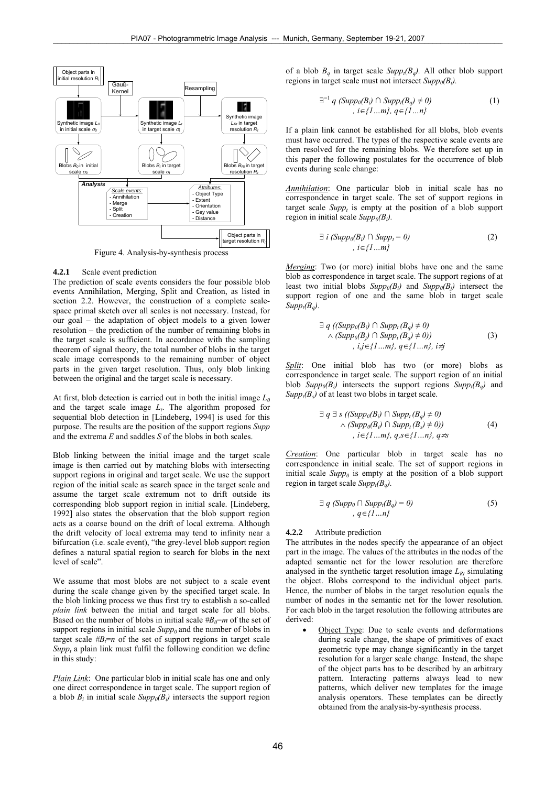

Figure 4. Analysis-by-synthesis process

#### **4.2.1** Scale event prediction

The prediction of scale events considers the four possible blob events Annihilation, Merging, Split and Creation, as listed in section 2.2. However, the construction of a complete scalespace primal sketch over all scales is not necessary. Instead, for our goal – the adaptation of object models to a given lower resolution – the prediction of the number of remaining blobs in the target scale is sufficient. In accordance with the sampling theorem of signal theory, the total number of blobs in the target scale image corresponds to the remaining number of object parts in the given target resolution. Thus, only blob linking between the original and the target scale is necessary.

At first, blob detection is carried out in both the initial image  $L_0$ and the target scale image  $L_t$ . The algorithm proposed for sequential blob detection in [Lindeberg, 1994] is used for this purpose. The results are the position of the support regions *Supp* and the extrema *E* and saddles *S* of the blobs in both scales.

Blob linking between the initial image and the target scale image is then carried out by matching blobs with intersecting support regions in original and target scale. We use the support region of the initial scale as search space in the target scale and assume the target scale extremum not to drift outside its corresponding blob support region in initial scale. [Lindeberg, 1992] also states the observation that the blob support region acts as a coarse bound on the drift of local extrema. Although the drift velocity of local extrema may tend to infinity near a bifurcation (i.e. scale event), "the grey-level blob support region defines a natural spatial region to search for blobs in the next level of scale".

We assume that most blobs are not subject to a scale event during the scale change given by the specified target scale. In the blob linking process we thus first try to establish a so-called *plain link* between the initial and target scale for all blobs. Based on the number of blobs in initial scale  $#B_0=m$  of the set of support regions in initial scale  $\text{Supp}_0$  and the number of blobs in target scale  $#B = n$  of the set of support regions in target scale  $Supp<sub>t</sub>$  a plain link must fulfil the following condition we define in this study:

*Plain Link*: One particular blob in initial scale has one and only one direct correspondence in target scale. The support region of a blob  $B_i$  in initial scale  $Supp_0(B_i)$  intersects the support region

of a blob  $B_a$  in target scale  $Supp_t(B_a)$ . All other blob support regions in target scale must not intersect  $Supp_0(B_i)$ .

$$
\exists^{=1} q \ (Supp_0(B_i) \cap Supp_t(B_q) \neq 0)
$$
  
,  $i \in \{1...m\}, q \in \{1...n\}$  (1)

If a plain link cannot be established for all blobs, blob events must have occurred. The types of the respective scale events are then resolved for the remaining blobs. We therefore set up in this paper the following postulates for the occurrence of blob events during scale change:

*Annihilation*: One particular blob in initial scale has no correspondence in target scale. The set of support regions in target scale  $Supp_t$  is empty at the position of a blob support region in initial scale  $Supp_0(B_i)$ .

$$
\exists i (Supp0(Bi) \cap Suppi = 0)
$$
\n
$$
i \in \{1...m\}
$$
\n(2)

*Merging*: Two (or more) initial blobs have one and the same blob as correspondence in target scale. The support regions of at least two initial blobs  $Supp_0(B_i)$  and  $Supp_0(B_i)$  intersect the support region of one and the same blob in target scale  $Supp_t(B_a)$ .

$$
\exists q \ ( (Supp_0(B_i) \cap Supp_t(B_q) \neq 0) \land (Supp_0(B_j) \cap Supp_t(B_q) \neq 0)) \qquad (3)
$$
  
,  $i,j \in \{1...m\}, q \in \{1...n\}, i \neq j$ 

*Split*: One initial blob has two (or more) blobs as correspondence in target scale. The support region of an initial blob  $Supp_0(B_i)$  intersects the support regions  $Supp_i(B_a)$  and  $Supp<sub>t</sub>(B<sub>s</sub>)$  of at least two blobs in target scale.

$$
\exists q \exists s \ ((\text{Supp}_0(B_i) \cap \text{Supp}_t(B_q) \neq 0) \land (\text{Supp}_0(B_i) \cap \text{Supp}_t(B_s) \neq 0)) \qquad (4)
$$
  
,  $i \in \{1...m\}, q, s \in \{1...n\}, q \neq s$ 

*Creation*: One particular blob in target scale has no correspondence in initial scale. The set of support regions in initial scale  $Supp<sub>0</sub>$  is empty at the position of a blob support region in target scale  $Supp_t(B_a)$ .

$$
\exists q \ (Supp_0 \cap Supp_t(B_q) = 0)
$$
\n
$$
q \in \{1...n\}
$$
\n(5)

#### **4.2.2** Attribute prediction

The attributes in the nodes specify the appearance of an object part in the image. The values of the attributes in the nodes of the adapted semantic net for the lower resolution are therefore analysed in the synthetic target resolution image  $L_{Rt}$  simulating the object. Blobs correspond to the individual object parts. Hence, the number of blobs in the target resolution equals the number of nodes in the semantic net for the lower resolution. For each blob in the target resolution the following attributes are derived:

Object Type: Due to scale events and deformations during scale change, the shape of primitives of exact geometric type may change significantly in the target resolution for a larger scale change. Instead, the shape of the object parts has to be described by an arbitrary pattern. Interacting patterns always lead to new patterns, which deliver new templates for the image analysis operators. These templates can be directly obtained from the analysis-by-synthesis process.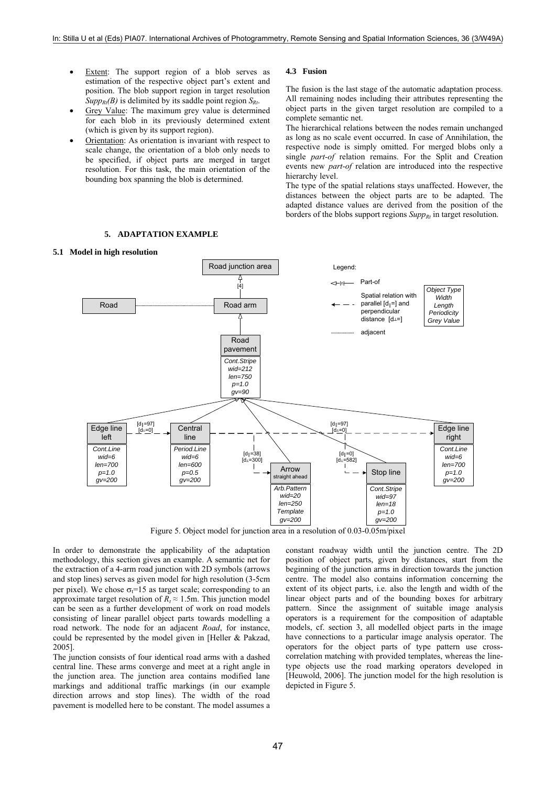- Extent: The support region of a blob serves as estimation of the respective object part's extent and position. The blob support region in target resolution  $Supp_{Rt}(B)$  is delimited by its saddle point region  $S_{Rt}$ .
- Grey Value: The maximum grey value is determined for each blob in its previously determined extent (which is given by its support region).
- Orientation: As orientation is invariant with respect to scale change, the orientation of a blob only needs to be specified, if object parts are merged in target resolution. For this task, the main orientation of the bounding box spanning the blob is determined.

**5. ADAPTATION EXAMPLE** 

# **4.3 Fusion**

The fusion is the last stage of the automatic adaptation process. All remaining nodes including their attributes representing the object parts in the given target resolution are compiled to a complete semantic net.

The hierarchical relations between the nodes remain unchanged as long as no scale event occurred. In case of Annihilation, the respective node is simply omitted. For merged blobs only a single *part-of* relation remains. For the Split and Creation events new *part-of* relation are introduced into the respective hierarchy level.

The type of the spatial relations stays unaffected. However, the distances between the object parts are to be adapted. The adapted distance values are derived from the position of the borders of the blobs support regions  $Supp<sub>Rt</sub>$  in target resolution.



**5.1 Model in high resolution** 

Figure 5. Object model for junction area in a resolution of 0.03-0.05m/pixel

In order to demonstrate the applicability of the adaptation methodology, this section gives an example. A semantic net for the extraction of a 4-arm road junction with 2D symbols (arrows and stop lines) serves as given model for high resolution (3-5cm per pixel). We chose  $\sigma_f$ =15 as target scale; corresponding to an approximate target resolution of  $R_t \approx 1.5$ m. This junction model can be seen as a further development of work on road models consisting of linear parallel object parts towards modelling a road network. The node for an adjacent *Road*, for instance, could be represented by the model given in [Heller & Pakzad, 2005].

The junction consists of four identical road arms with a dashed central line. These arms converge and meet at a right angle in the junction area. The junction area contains modified lane markings and additional traffic markings (in our example direction arrows and stop lines). The width of the road pavement is modelled here to be constant. The model assumes a

constant roadway width until the junction centre. The 2D position of object parts, given by distances, start from the beginning of the junction arms in direction towards the junction centre. The model also contains information concerning the extent of its object parts, i.e. also the length and width of the linear object parts and of the bounding boxes for arbitrary pattern. Since the assignment of suitable image analysis operators is a requirement for the composition of adaptable models, cf. section 3, all modelled object parts in the image have connections to a particular image analysis operator. The operators for the object parts of type pattern use crosscorrelation matching with provided templates, whereas the linetype objects use the road marking operators developed in [Heuwold, 2006]. The junction model for the high resolution is depicted in Figure 5.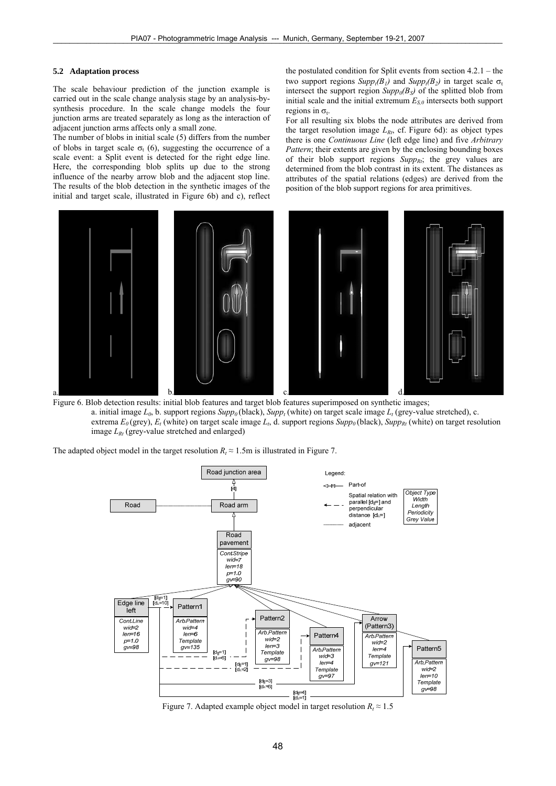## **5.2 Adaptation process**

The scale behaviour prediction of the junction example is carried out in the scale change analysis stage by an analysis-bysynthesis procedure. In the scale change models the four junction arms are treated separately as long as the interaction of adjacent junction arms affects only a small zone.

The number of blobs in initial scale (5) differs from the number of blobs in target scale  $\sigma_t$  (6), suggesting the occurrence of a scale event: a Split event is detected for the right edge line. Here, the corresponding blob splits up due to the strong influence of the nearby arrow blob and the adjacent stop line. The results of the blob detection in the synthetic images of the initial and target scale, illustrated in Figure 6b) and c), reflect

the postulated condition for Split events from section 4.2.1 – the two support regions  $Supp_t(B_1)$  and  $Supp_t(B_2)$  in target scale  $\sigma_t$ intersect the support region  $Supp_0(B_S)$  of the splitted blob from initial scale and the initial extremum  $E_{S,0}$  intersects both support regions in  $\sigma_t$ .

For all resulting six blobs the node attributes are derived from the target resolution image  $L_{Rt}$ , cf. Figure 6d): as object types there is one *Continuous Line* (left edge line) and five *Arbitrary Pattern*; their extents are given by the enclosing bounding boxes of their blob support regions  $\mathit{Supp}_{Rt}$ ; the grey values are determined from the blob contrast in its extent. The distances as attributes of the spatial relations (edges) are derived from the position of the blob support regions for area primitives.



Figure 6. Blob detection results: initial blob features and target blob features superimposed on synthetic images; a. initial image  $L_0$ , b. support regions  $Supp_0$  (black),  $Supp_t$  (white) on target scale image  $L_t$  (grey-value stretched), c. extrema  $E_0$  (grey),  $E_t$  (white) on target scale image  $L_t$ , d. support regions  $Supp_0$  (black),  $Supp_{R_t}$  (white) on target resolution image  $L_{Rt}$  (grey-value stretched and enlarged)

The adapted object model in the target resolution  $R_t \approx 1.5$ m is illustrated in Figure 7.



Figure 7. Adapted example object model in target resolution  $R_t \approx 1.5$